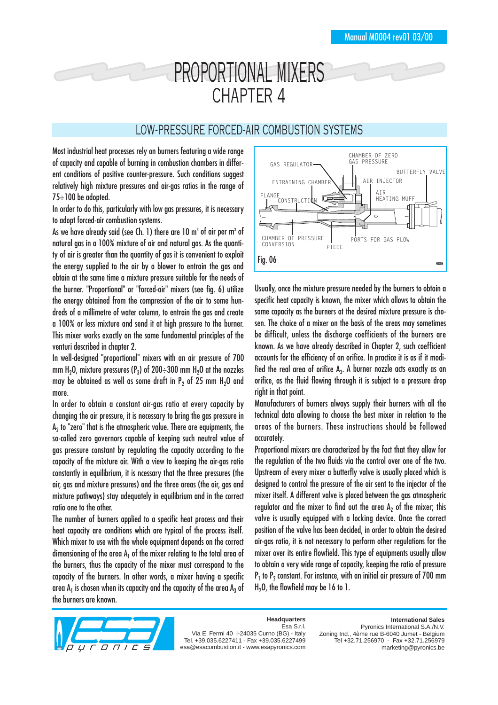# PROPORTIONAL MIXERS CHAPTER 4

## LOW-PRESSURE FORCED-AIR COMBUSTION SYSTEMS

Most industrial heat processes rely on burners featuring a wide range of capacity and capable of burning in combustion chambers in different conditions of positive counter-pressure. Such conditions suggest relatively high mixture pressures and air-gas ratios in the range of 75÷100 be adopted.

In order to do this, particularly with low gas pressures, it is necessary to adopt forced-air combustion systems.

As we have already said (see Ch. 1) there are 10  $m<sup>3</sup>$  of air per  $m<sup>3</sup>$  of natural gas in a 100% mixture of air and natural gas. As the quantity of air is greater than the quantity of gas it is convenient to exploit the energy supplied to the air by a blower to entrain the gas and obtain at the same time a mixture pressure suitable for the needs of the burner. "Proportional" or "forced-air" mixers (see fig. 6) utilize the energy obtained from the compression of the air to some hundreds of a millimetre of water column, to entrain the gas and create a 100% or less mixture and send it at high pressure to the burner. This mixer works exactly on the same fundamental principles of the venturi described in chapter 2.

In well-designed "proportional" mixers with an air pressure of 700 mm H<sub>2</sub>O, mixture pressures (P<sub>3</sub>) of 200÷300 mm H<sub>2</sub>O at the nozzles may be obtained as well as some draft in  $P<sub>2</sub>$  of 25 mm H<sub>2</sub>O and more.

In order to obtain a constant air-gas ratio at every capacity by changing the air pressure, it is necessary to bring the gas pressure in  $A<sub>2</sub>$  to "zero" that is the atmospheric value. There are equipments, the so-called zero governors capable of keeping such neutral value of gas pressure constant by regulating the capacity according to the capacity of the mixture air. With a view to keeping the air-gas ratio constantly in equilibrium, it is ncessary that the three pressures (the air, gas and mixture pressures) and the three areas (the air, gas and mixture pathways) stay adequately in equilibrium and in the correct ratio one to the other.

The number of burners applied to a specific heat process and their heat capacity are conditions which are typical of the process itself. Which mixer to use with the whole equipment depends on the correct dimensioning of the area  $A_1$  of the mixer relating to the total area of the burners, thus the capacity of the mixer must correspond to the capacity of the burners. In other words, a mixer having a specific area  $A_1$  is chosen when its capacity and the capacity of the area  $A_3$  of the burners are known.



Usually, once the mixture pressure needed by the burners to obtain a specific heat capacity is known, the mixer which allows to obtain the same capacity as the burners at the desired mixture pressure is chosen. The choice of a mixer on the basis of the areas may sometimes be difficult, unless the discharge coefficients of the burners are known. As we have already described in Chapter 2, such coefficient accounts for the efficiency of an orifice. In practice it is as if it modified the real area of orifice  $A_3$ . A burner nozzle acts exactly as an orifice, as the fluid flowing through it is subject to a pressure drop right in that point.

Manufacturers of burners always supply their burners with all the technical data allowing to choose the best mixer in relation to the areas of the burners. These instructions should be followed accurately.

Proportional mixers are characterized by the fact that they allow for the regulation of the two fluids via the control over one of the two. Upstream of every mixer a butterfly valve is usually placed which is designed to control the pressure of the air sent to the injector of the mixer itself. A different valve is placed between the gas atmospheric regulator and the mixer to find out the area  $A<sub>2</sub>$  of the mixer; this valve is usually equipped with a locking device. Once the correct position of the valve has been decided, in order to obtain the desired air-gas ratio, it is not necessary to perform other regulations for the mixer over its entire flowfield. This type of equipments usually allow to obtain a very wide range of capacity, keeping the ratio of pressure  $P_1$  to  $P_2$  constant. For instance, with an initial air pressure of 700 mm  $H<sub>2</sub>O$ , the flowfield may be 16 to 1.



**Headquarters** Esa S.r.l.

Via E. Fermi 40 I-24035 Curno (BG) - Italy Tel. +39.035.6227411 - Fax +39.035.6227499 esa@esacombustion.it - www.esapyronics.com **International Sales**

Pyronics International S.A./N.V. Zoning Ind., 4ème rue B-6040 Jumet - Belgium Tel +32.71.256970 - Fax +32.71.256979 marketing@pyronics.be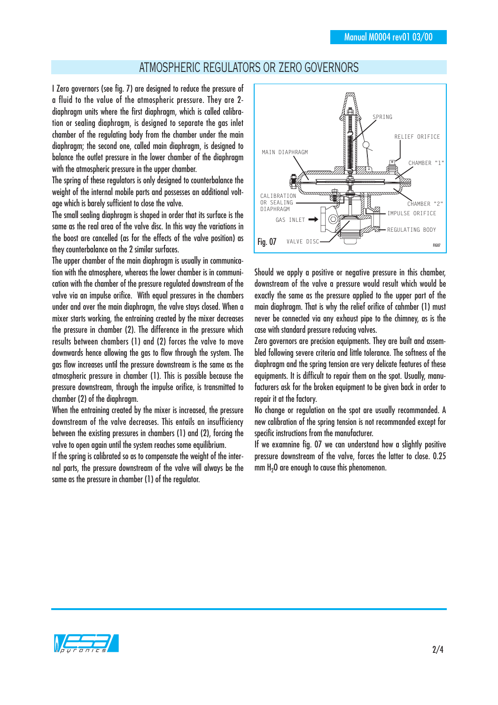### ATMOSPHERIC REGULATORS OR ZERO GOVERNORS

I Zero governors (see fig. 7) are designed to reduce the pressure of a fluid to the value of the atmospheric pressure. They are 2 diaphragm units where the first diaphragm, which is called calibration or sealing diaphragm, is designed to separate the gas inlet chamber of the regulating body from the chamber under the main diaphragm; the second one, called main diaphragm, is designed to balance the outlet pressure in the lower chamber of the diaphragm with the atmospheric pressure in the upper chamber.

The spring of these regulators is only designed to counterbalance the weight of the internal mobile parts and possesses an additional voltage which is barely sufficient to close the valve.

The small sealing diaphragm is shaped in order that its surface is the same as the real area of the valve disc. In this way the variations in the boost are cancelled (as for the effects of the valve position) as they counterbalance on the 2 similar surfaces.

The upper chamber of the main diaphragm is usually in communication with the atmosphere, whereas the lower chamber is in communication with the chamber of the pressure regulated downstream of the valve via an impulse orifice. With equal pressures in the chambers under and over the main diaphragm, the valve stays closed. When a mixer starts working, the entraining created by the mixer decreases the pressure in chamber (2). The difference in the pressure which results between chambers (1) and (2) forces the valve to move downwards hence allowing the gas to flow through the system. The gas flow increases until the pressure downstream is the same as the atmospheric pressure in chamber (1). This is possible because the pressure downstream, through the impulse orifice, is transmitted to chamber (2) of the diaphragm.

When the entraining created by the mixer is increased, the pressure downstream of the valve decreases. This entails an insufficiency between the existing pressures in chambers (1) and (2), forcing the valve to open again until the system reaches some equilibrium.

If the spring is calibrated so as to compensate the weight of the internal parts, the pressure downstream of the valve will always be the same as the pressure in chamber (1) of the regulator.



Should we apply a positive or negative pressure in this chamber. downstream of the valve a pressure would result which would be exactly the same as the pressure applied to the upper part of the main diaphragm. That is why the relief orifice of cahmber (1) must never be connected via any exhaust pipe to the chimney, as is the case with standard pressure reducing valves.

Zero governors are precision equipments. They are built and assembled following severe criteria and little tolerance. The softness of the diaphragm and the spring tension are very delicate features of these equipments. It is difficult to repair them on the spot. Usually, manufacturers ask for the broken equipment to be given back in order to repair it at the factory.

No change or regulation on the spot are usually recommanded. A new calibration of the spring tension is not recommanded except for specific instructions from the manufacturer.

If we examnine fig. 07 we can understand how a slightly positive pressure downstream of the valve, forces the latter to close. 0.25  $mm H<sub>2</sub>0$  are enough to cause this phenomenon.

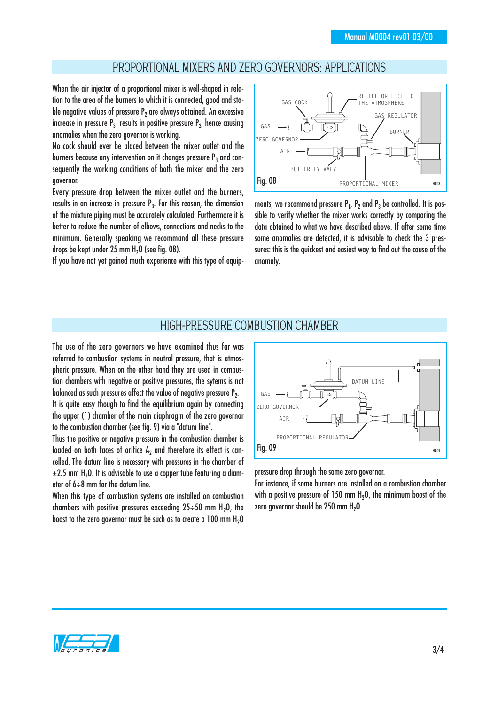# PROPORTIONAL MIXERS AND ZERO GOVERNORS: APPLICATIONS

When the air injector of a proportional mixer is well-shaped in relation to the area of the burners to which it is connected, good and stable negative values of pressure  $P<sub>2</sub>$  are always obtained. An excessive increase in pressure  $P_3$  results in positive pressure  $P_2$ , hence causing anomalies when the zero governor is working.

No cock should ever be placed between the mixer outlet and the burners because any intervention on it changes pressure  $P_3$  and consequently the working conditions of both the mixer and the zero governor.

Every pressure drop between the mixer outlet and the burners, results in an increase in pressure  $P_3$ . For this reason, the dimension of the mixture piping must be accurately calculated. Furthermore it is better to reduce the number of elbows, connections and necks to the minimum. Generally speaking we recommand all these pressure drops be kept under 25 mm  $H<sub>2</sub>O$  (see fig. 08).

If you have not yet gained much experience with this type of equip-



ments, we recommend pressure  $P_1$ ,  $P_2$  and  $P_3$  be controlled. It is possible to verify whether the mixer works correctly by comparing the data obtained to what we have described above. If after some time some anomalies are detected, it is advisable to check the 3 pressures: this is the quickest and easiest way to find out the cause of the anomaly.

#### HIGH-PRESSURE COMBUSTION CHAMBER

The use of the zero governors we have examined thus far was referred to combustion systems in neutral pressure, that is atmospheric pressure. When on the other hand they are used in combustion chambers with negative or positive pressures, the sytems is not balanced as such pressures affect the value of negative pressure  $P_2$ . It is quite easy though to find the equilibrium again by connecting the upper (1) chamber of the main diaphragm of the zero governor to the combustion chamber (see fig. 9) via a "datum line".

Thus the positive or negative pressure in the combustion chamber is loaded on both faces of orifice  $A<sub>2</sub>$  and therefore its effect is cancelled. The datum line is necessary with pressures in the chamber of  $\pm$ 2.5 mm H<sub>2</sub>O. It is advisable to use a copper tube featuring a diameter of 6÷8 mm for the datum line.

When this type of combustion systems are installed on combustion chambers with positive pressures exceeding  $25 \div 50$  mm H<sub>2</sub>O, the boost to the zero governor must be such as to create a  $100$  mm  $H<sub>2</sub>O$ 



pressure drop through the same zero governor.

For instance, if some burners are installed on a combustion chamber with a positive pressure of 150 mm  $H_2O$ , the minimum boost of the zero governor should be 250 mm  $H_2O$ .